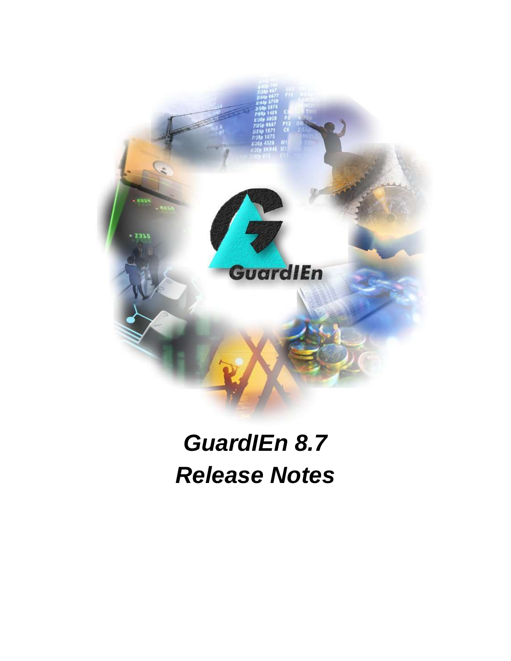

# *GuardIEn 8.7 Release Notes*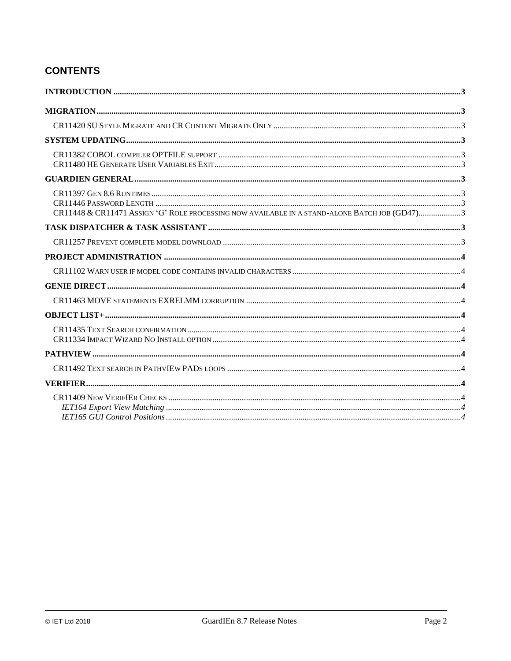# **CONTENTS**

| CR11448 & CR11471 ASSIGN 'G' ROLE PROCESSING NOW AVAILABLE IN A STAND-ALONE BATCH JOB (GD47)3 |  |
|-----------------------------------------------------------------------------------------------|--|
|                                                                                               |  |
|                                                                                               |  |
|                                                                                               |  |
|                                                                                               |  |
|                                                                                               |  |
|                                                                                               |  |
|                                                                                               |  |
|                                                                                               |  |
|                                                                                               |  |
|                                                                                               |  |
|                                                                                               |  |
|                                                                                               |  |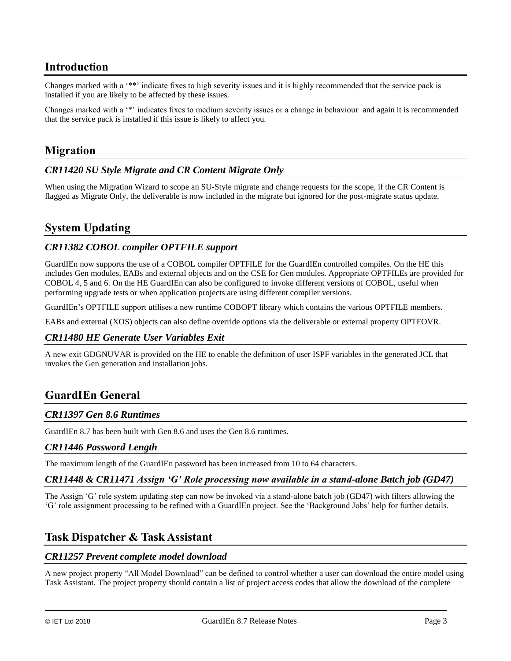# <span id="page-2-0"></span>**Introduction**

Changes marked with a '\*\*' indicate fixes to high severity issues and it is highly recommended that the service pack is installed if you are likely to be affected by these issues.

Changes marked with a '\*' indicates fixes to medium severity issues or a change in behaviour and again it is recommended that the service pack is installed if this issue is likely to affect you.

# <span id="page-2-1"></span>**Migration**

## <span id="page-2-2"></span>*CR11420 SU Style Migrate and CR Content Migrate Only*

When using the Migration Wizard to scope an SU-Style migrate and change requests for the scope, if the CR Content is flagged as Migrate Only, the deliverable is now included in the migrate but ignored for the post-migrate status update.

# <span id="page-2-3"></span>**System Updating**

## <span id="page-2-4"></span>*CR11382 COBOL compiler OPTFILE support*

GuardIEn now supports the use of a COBOL compiler OPTFILE for the GuardIEn controlled compiles. On the HE this includes Gen modules, EABs and external objects and on the CSE for Gen modules. Appropriate OPTFILEs are provided for COBOL 4, 5 and 6. On the HE GuardIEn can also be configured to invoke different versions of COBOL, useful when performing upgrade tests or when application projects are using different compiler versions.

GuardIEn's OPTFILE support utilises a new runtime COBOPT library which contains the various OPTFILE members.

EABs and external (XOS) objects can also define override options via the deliverable or external property OPTFOVR.

## <span id="page-2-5"></span>*CR11480 HE Generate User Variables Exit*

A new exit GDGNUVAR is provided on the HE to enable the definition of user ISPF variables in the generated JCL that invokes the Gen generation and installation jobs.

# <span id="page-2-6"></span>**GuardIEn General**

## <span id="page-2-7"></span>*CR11397 Gen 8.6 Runtimes*

GuardIEn 8.7 has been built with Gen 8.6 and uses the Gen 8.6 runtimes.

## <span id="page-2-8"></span>*CR11446 Password Length*

The maximum length of the GuardIEn password has been increased from 10 to 64 characters.

## <span id="page-2-9"></span>*CR11448 & CR11471 Assign 'G' Role processing now available in a stand-alone Batch job (GD47)*

The Assign 'G' role system updating step can now be invoked via a stand-alone batch job (GD47) with filters allowing the 'G' role assignment processing to be refined with a GuardIEn project. See the 'Background Jobs' help for further details.

## <span id="page-2-10"></span>**Task Dispatcher & Task Assistant**

#### <span id="page-2-11"></span>*CR11257 Prevent complete model download*

A new project property "All Model Download" can be defined to control whether a user can download the entire model using Task Assistant. The project property should contain a list of project access codes that allow the download of the complete